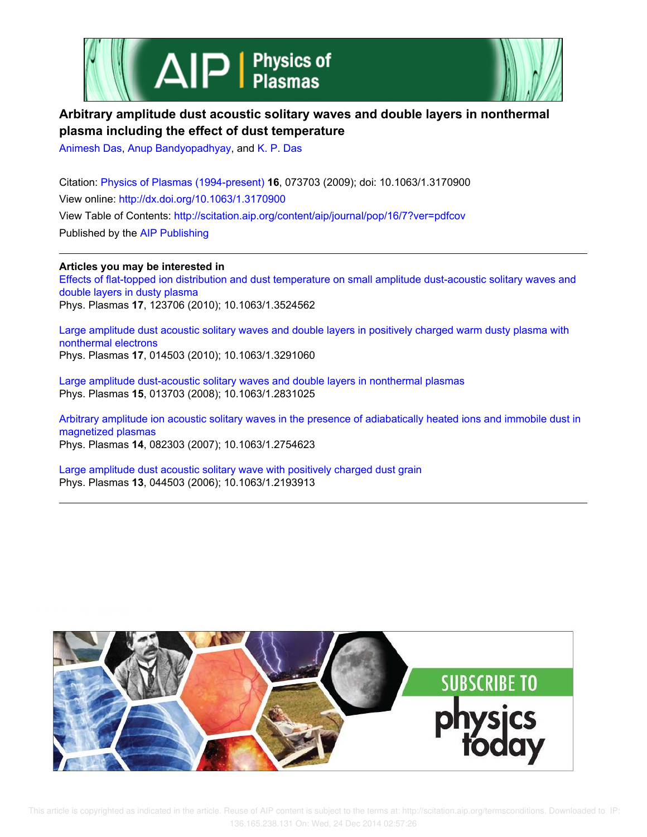



# **Arbitrary amplitude dust acoustic solitary waves and double layers in nonthermal plasma including the effect of dust temperature**

Animesh Das, Anup Bandyopadhyay, and K. P. Das

Citation: Physics of Plasmas (1994-present) **16**, 073703 (2009); doi: 10.1063/1.3170900 View online: http://dx.doi.org/10.1063/1.3170900 View Table of Contents: http://scitation.aip.org/content/aip/journal/pop/16/7?ver=pdfcov Published by the AIP Publishing

**Articles you may be interested in** Effects of flat-topped ion distribution and dust temperature on small amplitude dust-acoustic solitary waves and double layers in dusty plasma Phys. Plasmas **17**, 123706 (2010); 10.1063/1.3524562

Large amplitude dust acoustic solitary waves and double layers in positively charged warm dusty plasma with nonthermal electrons Phys. Plasmas **17**, 014503 (2010); 10.1063/1.3291060

Large amplitude dust-acoustic solitary waves and double layers in nonthermal plasmas Phys. Plasmas **15**, 013703 (2008); 10.1063/1.2831025

Arbitrary amplitude ion acoustic solitary waves in the presence of adiabatically heated ions and immobile dust in magnetized plasmas

Phys. Plasmas **14**, 082303 (2007); 10.1063/1.2754623

Large amplitude dust acoustic solitary wave with positively charged dust grain Phys. Plasmas **13**, 044503 (2006); 10.1063/1.2193913

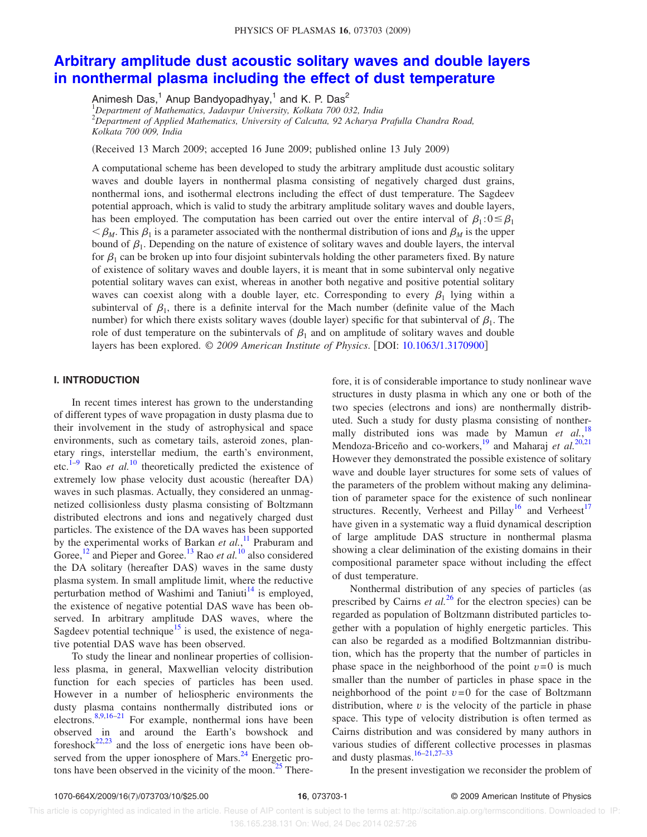## **Arbitrary amplitude dust acoustic solitary waves and double layers in nonthermal plasma including the effect of dust temperature**

Animesh Das,<sup>1</sup> Anup Bandyopadhyay,<sup>1</sup> and K. P. Das<sup>2</sup>

<sup>1</sup>*Department of Mathematics, Jadavpur University, Kolkata 700 032, India* <sup>2</sup>*Department of Applied Mathematics, University of Calcutta, 92 Acharya Prafulla Chandra Road, Kolkata 700 009, India*

Received 13 March 2009; accepted 16 June 2009; published online 13 July 2009-

A computational scheme has been developed to study the arbitrary amplitude dust acoustic solitary waves and double layers in nonthermal plasma consisting of negatively charged dust grains, nonthermal ions, and isothermal electrons including the effect of dust temperature. The Sagdeev potential approach, which is valid to study the arbitrary amplitude solitary waves and double layers, has been employed. The computation has been carried out over the entire interval of  $\beta_1$ :  $0 \leq \beta_1$  $\leq \beta_M$ . This  $\beta_1$  is a parameter associated with the nonthermal distribution of ions and  $\beta_M$  is the upper bound of  $\beta_1$ . Depending on the nature of existence of solitary waves and double layers, the interval for  $\beta_1$  can be broken up into four disjoint subintervals holding the other parameters fixed. By nature of existence of solitary waves and double layers, it is meant that in some subinterval only negative potential solitary waves can exist, whereas in another both negative and positive potential solitary waves can coexist along with a double layer, etc. Corresponding to every  $\beta_1$  lying within a subinterval of  $\beta_1$ , there is a definite interval for the Mach number (definite value of the Mach number) for which there exists solitary waves (double layer) specific for that subinterval of  $\beta_1$ . The role of dust temperature on the subintervals of  $\beta_1$  and on amplitude of solitary waves and double layers has been explored. © *2009 American Institute of Physics*. DOI: 10.1063/1.3170900

### **I. INTRODUCTION**

In recent times interest has grown to the understanding of different types of wave propagation in dusty plasma due to their involvement in the study of astrophysical and space environments, such as cometary tails, asteroid zones, planetary rings, interstellar medium, the earth's environment, etc.<sup>1–9</sup> Rao *et al.*<sup>10</sup> theoretically predicted the existence of extremely low phase velocity dust acoustic (hereafter DA) waves in such plasmas. Actually, they considered an unmagnetized collisionless dusty plasma consisting of Boltzmann distributed electrons and ions and negatively charged dust particles. The existence of the DA waves has been supported by the experimental works of Barkan *et al.*,<sup>11</sup> Praburam and Goree,<sup>12</sup> and Pieper and Goree.<sup>13</sup> Rao *et al.*<sup>10</sup> also considered the DA solitary (hereafter DAS) waves in the same dusty plasma system. In small amplitude limit, where the reductive perturbation method of Washimi and Taniuti $14$  is employed, the existence of negative potential DAS wave has been observed. In arbitrary amplitude DAS waves, where the Sagdeev potential technique<sup>15</sup> is used, the existence of negative potential DAS wave has been observed.

To study the linear and nonlinear properties of collisionless plasma, in general, Maxwellian velocity distribution function for each species of particles has been used. However in a number of heliospheric environments the dusty plasma contains nonthermally distributed ions or electrons.8,9,16–21 For example, nonthermal ions have been observed in and around the Earth's bowshock and foreshock $22,23$  and the loss of energetic ions have been observed from the upper ionosphere of Mars. $^{24}$  Energetic protons have been observed in the vicinity of the moon.<sup>25</sup> There-

fore, it is of considerable importance to study nonlinear wave structures in dusty plasma in which any one or both of the two species (electrons and ions) are nonthermally distributed. Such a study for dusty plasma consisting of nonthermally distributed ions was made by Mamun et al.,<sup>18</sup> Mendoza-Briceño and co-workers,<sup>19</sup> and Maharaj *et al.*<sup>20,21</sup> However they demonstrated the possible existence of solitary wave and double layer structures for some sets of values of the parameters of the problem without making any delimination of parameter space for the existence of such nonlinear structures. Recently, Verheest and Pillay<sup>16</sup> and Verheest<sup>17</sup> have given in a systematic way a fluid dynamical description of large amplitude DAS structure in nonthermal plasma showing a clear delimination of the existing domains in their compositional parameter space without including the effect of dust temperature.

Nonthermal distribution of any species of particles (as prescribed by Cairns *et al.*<sup>26</sup> for the electron species) can be regarded as population of Boltzmann distributed particles together with a population of highly energetic particles. This can also be regarded as a modified Boltzmannian distribution, which has the property that the number of particles in phase space in the neighborhood of the point  $v=0$  is much smaller than the number of particles in phase space in the neighborhood of the point  $v=0$  for the case of Boltzmann distribution, where *v* is the velocity of the particle in phase space. This type of velocity distribution is often termed as Cairns distribution and was considered by many authors in various studies of different collective processes in plasmas and dusty plasmas.  $16-21,27-33$ 

In the present investigation we reconsider the problem of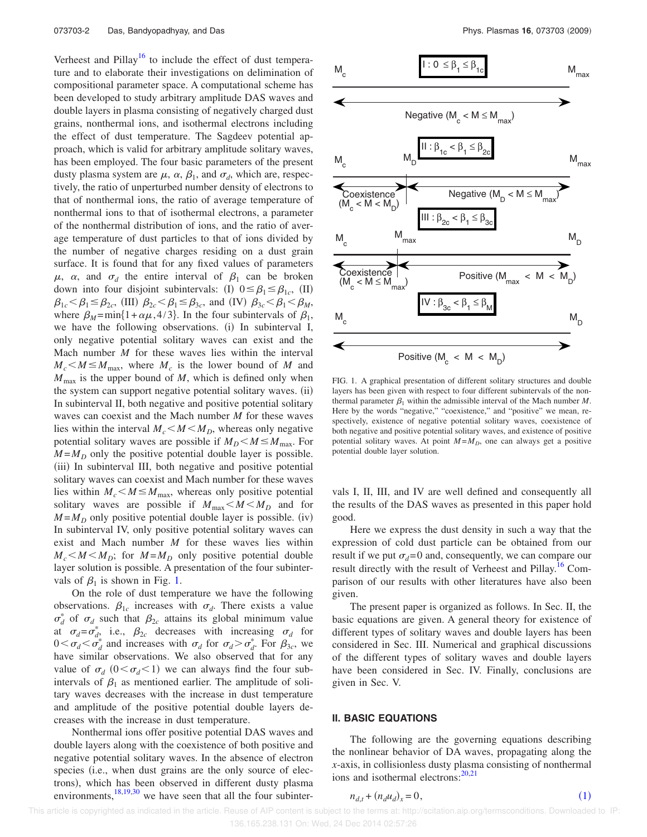Verheest and Pillay<sup>16</sup> to include the effect of dust temperature and to elaborate their investigations on delimination of compositional parameter space. A computational scheme has been developed to study arbitrary amplitude DAS waves and double layers in plasma consisting of negatively charged dust grains, nonthermal ions, and isothermal electrons including the effect of dust temperature. The Sagdeev potential approach, which is valid for arbitrary amplitude solitary waves, has been employed. The four basic parameters of the present dusty plasma system are  $\mu$ ,  $\alpha$ ,  $\beta_1$ , and  $\sigma_d$ , which are, respectively, the ratio of unperturbed number density of electrons to that of nonthermal ions, the ratio of average temperature of nonthermal ions to that of isothermal electrons, a parameter of the nonthermal distribution of ions, and the ratio of average temperature of dust particles to that of ions divided by the number of negative charges residing on a dust grain surface. It is found that for any fixed values of parameters  $\mu$ ,  $\alpha$ , and  $\sigma_d$  the entire interval of  $\beta_1$  can be broken down into four disjoint subintervals: (I)  $0 \leq \beta_1 \leq \beta_1$ , (II)  $\beta_{1c} < \beta_1 \leq \beta_{2c}$ , (III)  $\beta_{2c} < \beta_1 \leq \beta_{3c}$ , and (IV)  $\beta_{3c} < \beta_1 < \beta_M$ , where  $\beta_M = \min\{1 + \alpha\mu, 4/3\}$ . In the four subintervals of  $\beta_1$ , we have the following observations. (i) In subinterval I, only negative potential solitary waves can exist and the Mach number *M* for these waves lies within the interval  $M_c < M \leq M_{\text{max}}$ , where  $M_c$  is the lower bound of *M* and  $M_{\text{max}}$  is the upper bound of  $M$ , which is defined only when the system can support negative potential solitary waves. (ii) In subinterval II, both negative and positive potential solitary waves can coexist and the Mach number *M* for these waves lies within the interval  $M_c < M < M_D$ , whereas only negative potential solitary waves are possible if  $M_D < M \leq M_{\text{max}}$ . For  $M = M_D$  only the positive potential double layer is possible. (iii) In subinterval III, both negative and positive potential solitary waves can coexist and Mach number for these waves lies within  $M_c < M \le M_{\text{max}}$ , whereas only positive potential solitary waves are possible if  $M_{\text{max}} < M < M_D$  and for  $M = M_D$  only positive potential double layer is possible. (iv) In subinterval IV, only positive potential solitary waves can exist and Mach number *M* for these waves lies within  $M_c < M < M_D$ ; for  $M = M_D$  only positive potential double layer solution is possible. A presentation of the four subintervals of  $\beta_1$  is shown in Fig. 1.

On the role of dust temperature we have the following observations.  $\beta_{1c}$  increases with  $\sigma_d$ . There exists a value  $\sigma_d^*$  of  $\sigma_d$  such that  $\beta_{2c}$  attains its global minimum value at  $\sigma_d = \sigma_d^*$ , i.e.,  $\beta_{2c}$  decreases with increasing  $\sigma_d$  for  $0 < \sigma_d < \sigma_d^*$  and increases with  $\sigma_d$  for  $\sigma_d > \sigma_d^*$ . For  $\beta_{3c}$ , we have similar observations. We also observed that for any value of  $\sigma_d$  ( $0 < \sigma_d < 1$ ) we can always find the four subintervals of  $\beta_1$  as mentioned earlier. The amplitude of solitary waves decreases with the increase in dust temperature and amplitude of the positive potential double layers decreases with the increase in dust temperature.

Nonthermal ions offer positive potential DAS waves and double layers along with the coexistence of both positive and negative potential solitary waves. In the absence of electron species (i.e., when dust grains are the only source of electrons), which has been observed in different dusty plasma environments,  $^{18,19,30}$  we have seen that all the four subinter-



FIG. 1. A graphical presentation of different solitary structures and double layers has been given with respect to four different subintervals of the nonthermal parameter  $\beta_1$  within the admissible interval of the Mach number *M*. Here by the words "negative," "coexistence," and "positive" we mean, respectively, existence of negative potential solitary waves, coexistence of both negative and positive potential solitary waves, and existence of positive potential solitary waves. At point  $M = M_D$ , one can always get a positive potential double layer solution.

vals I, II, III, and IV are well defined and consequently all the results of the DAS waves as presented in this paper hold good.

Here we express the dust density in such a way that the expression of cold dust particle can be obtained from our result if we put  $\sigma_d = 0$  and, consequently, we can compare our result directly with the result of Verheest and Pillay.<sup>16</sup> Comparison of our results with other literatures have also been given.

The present paper is organized as follows. In Sec. II, the basic equations are given. A general theory for existence of different types of solitary waves and double layers has been considered in Sec. III. Numerical and graphical discussions of the different types of solitary waves and double layers have been considered in Sec. IV. Finally, conclusions are given in Sec. V.

#### **II. BASIC EQUATIONS**

The following are the governing equations describing the nonlinear behavior of DA waves, propagating along the *x*-axis, in collisionless dusty plasma consisting of nonthermal ions and isothermal electrons: $20,21$ 

$$
n_{d,t} + (n_d u_d)_x = 0,\t\t(1)
$$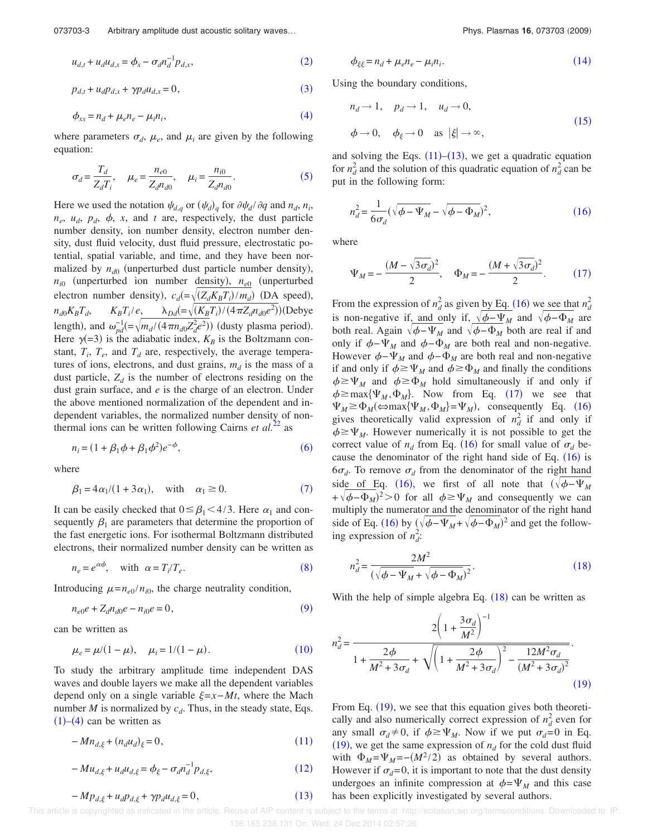073703-3 Arbitrary amplitude dust acoustic solitary waves...<br> **Phys. Plasmas 16**, 073703 (2009)

$$
u_{d,t} + u_d u_{d,x} = \phi_x - \sigma_d n_d^{-1} p_{d,x},
$$
\n(2)

$$
p_{d,t} + u_d p_{d,x} + \gamma p_d u_{d,x} = 0,\tag{3}
$$

$$
\phi_{xx} = n_d + \mu_e n_e - \mu_i n_i,\tag{4}
$$

where parameters  $\sigma_d$ ,  $\mu_e$ , and  $\mu_i$  are given by the following equation:

$$
\sigma_d = \frac{T_d}{Z_d T_i}, \quad \mu_e = \frac{n_{e0}}{Z_d n_{d0}}, \quad \mu_i = \frac{n_{i0}}{Z_d n_{d0}}.
$$
 (5)

Here we used the notation  $\psi_{d,q}$  or  $(\psi_d)_{q}$  for  $\partial \psi_d / \partial q$  and  $n_d$ ,  $n_i$ ,  $n_e$ ,  $u_d$ ,  $p_d$ ,  $\phi$ , x, and t are, respectively, the dust particle number density, ion number density, electron number density, dust fluid velocity, dust fluid pressure, electrostatic potential, spatial variable, and time, and they have been normalized by  $n_{d0}$  (unperturbed dust particle number density),  $n_{i0}$  (unperturbed ion number density),  $n_{e0}$  (unperturbed electron number density),  $c_d = \sqrt{(Z_d K_B T_i)/m_d}$  (DA speed),  $n_{d0}K_BT_d$  $K_B T_i/e$ ,  $\lambda_{Dd} = \sqrt{(K_B T_i)/(4\pi Z_d n_{d0}e^2)}$ )(Debye length), and  $\omega_{pd}^{-1} = \sqrt{m_d/(4\pi n_{d0} Z_d^2 e^2)}$  (dusty plasma period). Here  $\gamma$ (=3) is the adiabatic index,  $K_B$  is the Boltzmann constant,  $T_i$ ,  $T_e$ , and  $T_d$  are, respectively, the average temperatures of ions, electrons, and dust grains,  $m_d$  is the mass of a dust particle,  $Z_d$  is the number of electrons residing on the dust grain surface, and *e* is the charge of an electron. Under the above mentioned normalization of the dependent and independent variables, the normalized number density of nonthermal ions can be written following Cairns *et al.*<sup>22</sup> as

$$
n_i = (1 + \beta_1 \phi + \beta_1 \phi^2) e^{-\phi},
$$
\n(6)

where

$$
\beta_1 = 4\alpha_1/(1+3\alpha_1), \quad \text{with} \quad \alpha_1 \ge 0. \tag{7}
$$

It can be easily checked that  $0 \leq \beta_1 < 4/3$ . Here  $\alpha_1$  and consequently  $\beta_1$  are parameters that determine the proportion of the fast energetic ions. For isothermal Boltzmann distributed electrons, their normalized number density can be written as

$$
n_e = e^{\alpha \phi}, \quad \text{with} \quad \alpha = T_i / T_e. \tag{8}
$$

Introducing  $\mu = n_{e0}/n_{i0}$ , the charge neutrality condition,

$$
n_{e0}e + Z_d n_{d0}e - n_{i0}e = 0,\t\t(9)
$$

can be written as

$$
\mu_e = \mu/(1 - \mu), \quad \mu_i = 1/(1 - \mu). \tag{10}
$$

To study the arbitrary amplitude time independent DAS waves and double layers we make all the dependent variables depend only on a single variable  $\xi = x - Mt$ , where the Mach number  $M$  is normalized by  $c_d$ . Thus, in the steady state, Eqs.  $(1)$ – $(4)$  can be written as

$$
-Mn_{d,\xi} + (n_d u_d)_{\xi} = 0,\t\t(11)
$$

$$
-Mu_{d,\xi} + u_d u_{d,\xi} = \phi_{\xi} - \sigma_d n_d^{-1} p_{d,\xi},
$$
\n(12)

$$
-Mp_{d,\xi} + u_d p_{d,\xi} + \gamma p_d u_{d,\xi} = 0, \qquad (13)
$$

$$
\phi_{\xi\xi} = n_d + \mu_e n_e - \mu_i n_i. \tag{14}
$$

Using the boundary conditions,

$$
n_d \to 1, \quad p_d \to 1, \quad u_d \to 0,
$$
  
\n
$$
\phi \to 0, \quad \phi_{\xi} \to 0 \quad \text{as } |\xi| \to \infty,
$$
\n(15)

and solving the Eqs.  $(11)$ – $(13)$ , we get a quadratic equation for  $n_d^2$  and the solution of this quadratic equation of  $n_d^2$  can be put in the following form:

$$
n_d^2 = \frac{1}{6\sigma_d} (\sqrt{\phi - \Psi_M} - \sqrt{\phi - \Phi_M})^2, \qquad (16)
$$

where

$$
\Psi_M = -\frac{(M - \sqrt{3\sigma_d})^2}{2}, \quad \Phi_M = -\frac{(M + \sqrt{3\sigma_d})^2}{2}.
$$
 (17)

From the expression of  $n_d^2$  as given by Eq. (16) we see that  $n_d^2$ is non-negative if, and only if,  $\sqrt{\phi} - \Psi_M$  and  $\sqrt{\phi} - \Phi_M$  are both real. Again  $\sqrt{\phi}$ - $\Psi_M$  and  $\sqrt{\phi}$ - $\Phi_M$  both are real if and only if  $\phi$ − $\Psi$ <sub>*M*</sub> and  $\phi$ − $\Phi$ <sub>*M*</sub> are both real and non-negative. However  $\phi$ − $\Psi_M$  and  $\phi$ − $\Phi_M$  are both real and non-negative if and only if  $\phi \geq \Psi_M$  and  $\phi \geq \Phi_M$  and finally the conditions  $\phi \geq \Psi_M$  and  $\phi \geq \Phi_M$  hold simultaneously if and only if  $\phi \ge \max{\Psi_M, \Phi_M}$ . Now from Eq. (17) we see that  $\Psi_M \ge \Phi_M(\Leftrightarrow \max{\Psi_M, \Phi_M} = \Psi_M)$ , consequently Eq. (16) gives theoretically valid expression of  $n_d^2$  if and only if  $\phi \geq \Psi_M$ . However numerically it is not possible to get the correct value of  $n_d$  from Eq. (16) for small value of  $\sigma_d$  because the denominator of the right hand side of Eq.  $(16)$  is  $6\sigma_d$ . To remove  $\sigma_d$  from the denominator of the right hand side of Eq. (16), we first of all note that  $(\sqrt{\phi - \Psi_M})$  $+\sqrt{\phi-\Phi_M}$ <sup>2</sup>>0 for all  $\phi \ge \Psi_M$  and consequently we can multiply the numerator and the denominator of the right hand side of Eq. (16) by  $(\sqrt{\phi - \Psi_M} + \sqrt{\phi - \Phi_M})^2$  and get the following expression of  $n_d^2$ :

$$
n_d^2 = \frac{2M^2}{(\sqrt{\phi - \Psi_M} + \sqrt{\phi - \Phi_M})^2}.
$$
 (18)

With the help of simple algebra Eq.  $(18)$  can be written as

$$
n_d^2 = \frac{2\left(1 + \frac{3\sigma_d}{M^2}\right)^{-1}}{1 + \frac{2\phi}{M^2 + 3\sigma_d} + \sqrt{\left(1 + \frac{2\phi}{M^2 + 3\sigma_d}\right)^2 - \frac{12M^2\sigma_d}{(M^2 + 3\sigma_d)^2}}}.
$$
\n(19)

From Eq. (19), we see that this equation gives both theoretically and also numerically correct expression of  $n_d^2$  even for any small  $\sigma_d \neq 0$ , if  $\phi \geq \Psi_M$ . Now if we put  $\sigma_d = 0$  in Eq.  $(19)$ , we get the same expression of  $n_d$  for the cold dust fluid with  $\Phi_M = \Psi_M = -(M^2/2)$  as obtained by several authors. However if  $\sigma_d=0$ , it is important to note that the dust density undergoes an infinite compression at  $\phi = \Psi_M$  and this case has been explicitly investigated by several authors.

 This article is copyrighted as indicated in the article. Reuse of AIP content is subject to the terms at: http://scitation.aip.org/termsconditions. Downloaded to IP: 136.165.238.131 On: Wed, 24 Dec 2014 02:57:26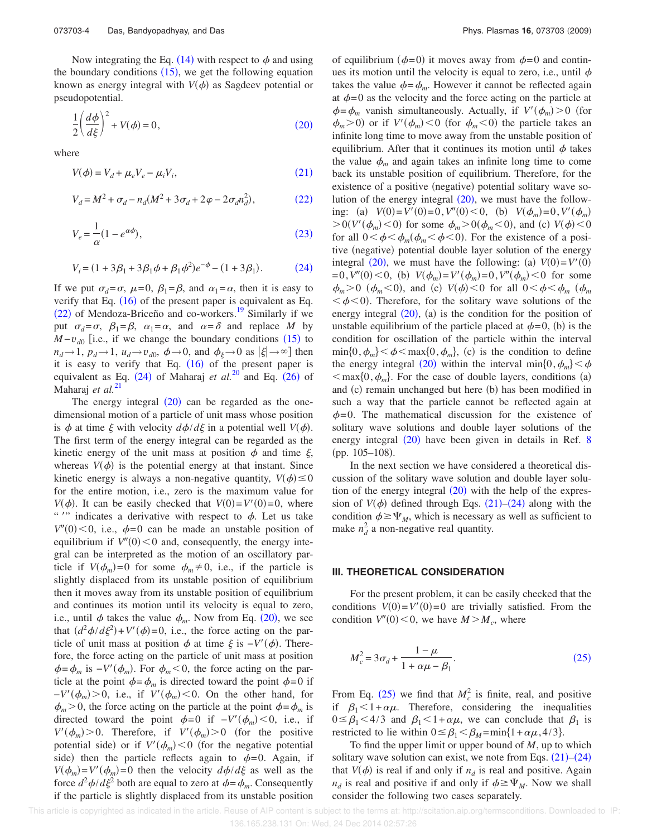Now integrating the Eq. (14) with respect to  $\phi$  and using the boundary conditions  $(15)$ , we get the following equation known as energy integral with  $V(\phi)$  as Sagdeev potential or pseudopotential.

$$
\frac{1}{2}\left(\frac{d\phi}{d\xi}\right)^2 + V(\phi) = 0,\tag{20}
$$

where

$$
V(\phi) = V_d + \mu_e V_e - \mu_i V_i, \qquad (21)
$$

$$
V_d = M^2 + \sigma_d - n_d(M^2 + 3\sigma_d + 2\varphi - 2\sigma_d n_d^2),
$$
 (22)

$$
V_e = \frac{1}{\alpha} (1 - e^{\alpha \phi}),\tag{23}
$$

$$
V_i = (1 + 3\beta_1 + 3\beta_1\phi + \beta_1\phi^2)e^{-\phi} - (1 + 3\beta_1). \tag{24}
$$

If we put  $\sigma_d = \sigma$ ,  $\mu = 0$ ,  $\beta_1 = \beta$ , and  $\alpha_1 = \alpha$ , then it is easy to verify that Eq.  $(16)$  of the present paper is equivalent as Eq.  $(22)$  of Mendoza-Briceño and co-workers.<sup>19</sup> Similarly if we put  $\sigma_d = \sigma$ ,  $\beta_1 = \beta$ ,  $\alpha_1 = \alpha$ , and  $\alpha = \delta$  and replace *M* by  $M - v_{d0}$  [i.e., if we change the boundary conditions (15) to  $n_d \rightarrow 1$ ,  $p_d \rightarrow 1$ ,  $u_d \rightarrow v_{d0}$ ,  $\phi \rightarrow 0$ , and  $\phi_{\xi} \rightarrow 0$  as  $|\xi| \rightarrow \infty$ ] then it is easy to verify that Eq.  $(16)$  of the present paper is equivalent as Eq.  $(24)$  of Maharaj *et al.*<sup>20</sup> and Eq.  $(26)$  of Maharaj *et al.*<sup>21</sup>

The energy integral  $(20)$  can be regarded as the onedimensional motion of a particle of unit mass whose position is  $\phi$  at time  $\xi$  with velocity  $d\phi/d\xi$  in a potential well  $V(\phi)$ . The first term of the energy integral can be regarded as the kinetic energy of the unit mass at position  $\phi$  and time  $\xi$ , whereas  $V(\phi)$  is the potential energy at that instant. Since kinetic energy is always a non-negative quantity,  $V(\phi) \le 0$ for the entire motion, i.e., zero is the maximum value for *V*( $\phi$ ). It can be easily checked that *V*(0)=*V'*(0)=0, where "" indicates a derivative with respect to  $\phi$ . Let us take  $V''(0)$  < 0, i.e.,  $\phi = 0$  can be made an unstable position of equilibrium if  $V''(0) < 0$  and, consequently, the energy integral can be interpreted as the motion of an oscillatory particle if  $V(\phi_m)=0$  for some  $\phi_m \neq 0$ , i.e., if the particle is slightly displaced from its unstable position of equilibrium then it moves away from its unstable position of equilibrium and continues its motion until its velocity is equal to zero, i.e., until  $\phi$  takes the value  $\phi_m$ . Now from Eq. (20), we see that  $(d^2\phi/d\xi^2) + V'(\phi) = 0$ , i.e., the force acting on the particle of unit mass at position  $\phi$  at time  $\xi$  is  $-V'(\phi)$ . Therefore, the force acting on the particle of unit mass at position  $\phi = \phi_m$  is  $-V'(\phi_m)$ . For  $\phi_m < 0$ , the force acting on the particle at the point  $\phi = \phi_m$  is directed toward the point  $\phi = 0$  if  $-V'(\phi_m) > 0$ , i.e., if  $V'(\phi_m) < 0$ . On the other hand, for  $\phi_m$  > 0, the force acting on the particle at the point  $\phi = \phi_m$  is directed toward the point  $\phi = 0$  if  $-V'(\phi_m) < 0$ , i.e., if  $V'(\phi_m) > 0$ . Therefore, if  $V'(\phi_m) > 0$  (for the positive potential side) or if  $V'(\phi_m) < 0$  (for the negative potential side) then the particle reflects again to  $\phi = 0$ . Again, if  $V(\phi_m) = V'(\phi_m) = 0$  then the velocity  $d\phi/d\xi$  as well as the force  $d^2\phi/d\xi^2$  both are equal to zero at  $\phi = \phi_m$ . Consequently if the particle is slightly displaced from its unstable position

of equilibrium ( $\phi$ =0) it moves away from  $\phi$ =0 and continues its motion until the velocity is equal to zero, i.e., until  $\phi$ takes the value  $\phi = \phi_m$ . However it cannot be reflected again at  $\phi$ =0 as the velocity and the force acting on the particle at  $\phi = \phi_m$  vanish simultaneously. Actually, if  $V'(\phi_m) > 0$  (for  $\phi_m$  > 0) or if *V'*( $\phi_m$ ) < 0 (for  $\phi_m$  < 0) the particle takes an infinite long time to move away from the unstable position of equilibrium. After that it continues its motion until  $\phi$  takes the value  $\phi_m$  and again takes an infinite long time to come back its unstable position of equilibrium. Therefore, for the existence of a positive (negative) potential solitary wave solution of the energy integral  $(20)$ , we must have the following: (a)  $V(0) = V'(0) = 0$ ,  $V''(0) < 0$ , (b)  $V(\phi_m) = 0$ ,  $V'(\phi_m)$  $> 0(V'(\phi_m) < 0)$  for some  $\phi_m > 0(\phi_m < 0)$ , and (c)  $V(\phi) < 0$ for all  $0 < \phi < \phi_m(\phi_m < \phi < 0)$ . For the existence of a positive (negative) potential double layer solution of the energy integral (20), we must have the following: (a)  $V(0) = V'(0)$  $=0, V''(0) < 0,$  (b)  $V(\phi_m) = V'(\phi_m) = 0, V''(\phi_m) < 0$  for some  $\phi_m$  > 0 ( $\phi_m$  < 0), and (c) *V*( $\phi$ ) < 0 for all 0 <  $\phi$  <  $\phi_m$  ( $\phi_m$  $\langle \phi \rangle$ . Therefore, for the solitary wave solutions of the energy integral  $(20)$ ,  $(a)$  is the condition for the position of unstable equilibrium of the particle placed at  $\phi = 0$ , (b) is the condition for oscillation of the particle within the interval  $\min\{0, \phi_m\} < \phi \le \max\{0, \phi_m\}$ , (c) is the condition to define the energy integral (20) within the interval min $\{0, \phi_m\} < \phi$  $\langle \text{max}\{0, \phi_m\} \rangle$ . For the case of double layers, conditions (a) and (c) remain unchanged but here (b) has been modified in such a way that the particle cannot be reflected again at  $\phi$ =0. The mathematical discussion for the existence of solitary wave solutions and double layer solutions of the energy integral (20) have been given in details in Ref. 8 (pp. 105–108).

In the next section we have considered a theoretical discussion of the solitary wave solution and double layer solution of the energy integral  $(20)$  with the help of the expression of  $V(\phi)$  defined through Eqs. (21)–(24) along with the condition  $\phi \geq \Psi_M$ , which is necessary as well as sufficient to make  $n_d^2$  a non-negative real quantity.

#### **III. THEORETICAL CONSIDERATION**

For the present problem, it can be easily checked that the conditions  $V(0) = V'(0) = 0$  are trivially satisfied. From the condition  $V''(0) < 0$ , we have  $M > M_c$ , where

$$
M_c^2 = 3\sigma_d + \frac{1 - \mu}{1 + \alpha\mu - \beta_1}.
$$
 (25)

From Eq. (25) we find that  $M_c^2$  is finite, real, and positive if  $\beta_1 < 1 + \alpha \mu$ . Therefore, considering the inequalities  $0 \leq \beta_1 < 4/3$  and  $\beta_1 < 1 + \alpha \mu$ , we can conclude that  $\beta_1$  is restricted to lie within  $0 \leq \beta_1 < \beta_M = \min\{1 + \alpha \mu, 4/3\}.$ 

To find the upper limit or upper bound of *M*, up to which solitary wave solution can exist, we note from Eqs.  $(21)$ – $(24)$ that  $V(\phi)$  is real if and only if  $n_d$  is real and positive. Again  $n_d$  is real and positive if and only if  $\phi \geq \Psi_M$ . Now we shall consider the following two cases separately.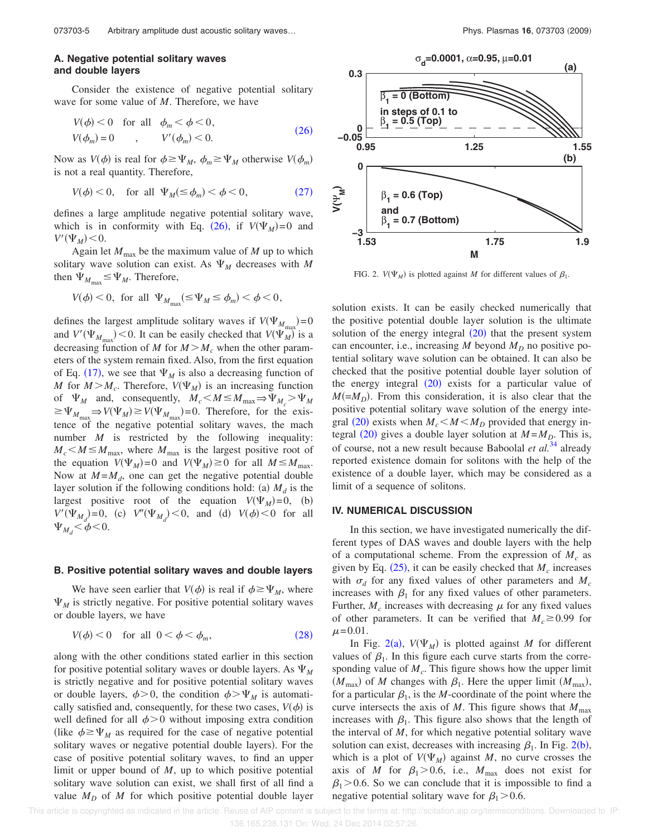## **A. Negative potential solitary waves and double layers**

Consider the existence of negative potential solitary wave for some value of *M*. Therefore, we have

$$
V(\phi) < 0 \quad \text{for all} \quad \phi_m < \phi < 0,
$$
\n
$$
V(\phi_m) = 0 \qquad , \qquad V'(\phi_m) < 0. \tag{26}
$$

Now as  $V(\phi)$  is real for  $\phi \ge \Psi_M$ ,  $\phi_m \ge \Psi_M$  otherwise  $V(\phi_m)$ is not a real quantity. Therefore,

$$
V(\phi) < 0, \quad \text{for all } \Psi_M(\leq \phi_m) < \phi < 0,\tag{27}
$$

defines a large amplitude negative potential solitary wave, which is in conformity with Eq. (26), if  $V(\Psi_M) = 0$  and  $V'(\Psi_M)$  < 0.

Again let  $M_{\text{max}}$  be the maximum value of  $M$  up to which solitary wave solution can exist. As  $\Psi_M$  decreases with M then  $\Psi_{M_{\text{max}}} \leq \Psi_M$ . Therefore,

$$
V(\phi) < 0, \text{ for all } \Psi_{M_{\text{max}}} (\leq \Psi_M \leq \phi_m) < \phi < 0,
$$

defines the largest amplitude solitary waves if  $V(\Psi_{M_{\text{max}}})=0$ and  $V'(\Psi_{M_{\text{max}}})$  < 0. It can be easily checked that  $V(\Psi_M^{\text{max}})$  is a decreasing function of *M* for  $M > M_c$  when the other parameters of the system remain fixed. Also, from the first equation of Eq. (17), we see that  $\Psi_M$  is also a decreasing function of *M* for  $M > M_c$ . Therefore,  $V(\Psi_M)$  is an increasing function of  $\Psi_M$  and, consequently,  $M_c < M \le M_{\text{max}} \Rightarrow \Psi_{M_c} > \Psi_M$  $\geq \Psi_{M_{\text{max}}} \Rightarrow V(\Psi_M) \geq V(\Psi_{M_{\text{max}}}) = 0$ . Therefore, for the existence of the negative potential solitary waves, the mach number *M* is restricted by the following inequality:  $M_c < M \leq M_{\text{max}}$ , where  $M_{\text{max}}$  is the largest positive root of the equation  $V(\Psi_M) = 0$  and  $V(\Psi_M) \ge 0$  for all  $M \le M_{\text{max}}$ . Now at  $M = M_d$ , one can get the negative potential double layer solution if the following conditions hold: (a)  $M_d$  is the largest positive root of the equation  $V(\Psi_M) = 0$ , (b)  $V'(\Psi_{M_d}) = 0$ , (c)  $V''(\Psi_{M_d}) < 0$ , and (d)  $V(\phi) < 0$  for all  $\Psi_{M_d}$  <  $\phi$  < 0.

#### **B. Positive potential solitary waves and double layers**

We have seen earlier that  $V(\phi)$  is real if  $\phi \geq \Psi_M$ , where  $\Psi_M$  is strictly negative. For positive potential solitary waves or double layers, we have

$$
V(\phi) < 0 \quad \text{for all} \quad 0 < \phi < \phi_m,\tag{28}
$$

along with the other conditions stated earlier in this section for positive potential solitary waves or double layers. As  $\Psi_M$ is strictly negative and for positive potential solitary waves or double layers,  $\phi > 0$ , the condition  $\phi > \Psi_M$  is automatically satisfied and, consequently, for these two cases,  $V(\phi)$  is well defined for all  $\phi > 0$  without imposing extra condition (like  $\phi \geq \Psi_M$  as required for the case of negative potential solitary waves or negative potential double layers). For the case of positive potential solitary waves, to find an upper limit or upper bound of *M*, up to which positive potential solitary wave solution can exist, we shall first of all find a value  $M_D$  of  $M$  for which positive potential double layer



FIG. 2.  $V(\Psi_M)$  is plotted against *M* for different values of  $\beta_1$ .

solution exists. It can be easily checked numerically that the positive potential double layer solution is the ultimate solution of the energy integral  $(20)$  that the present system can encounter, i.e., increasing M beyond  $M_D$  no positive potential solitary wave solution can be obtained. It can also be checked that the positive potential double layer solution of the energy integral  $(20)$  exists for a particular value of  $M(=M_D)$ . From this consideration, it is also clear that the positive potential solitary wave solution of the energy integral (20) exists when  $M_c < M < M_D$  provided that energy integral (20) gives a double layer solution at  $M = M_D$ . This is, of course, not a new result because Baboolal *et al.*<sup>34</sup> already reported existence domain for solitons with the help of the existence of a double layer, which may be considered as a limit of a sequence of solitons.

#### **IV. NUMERICAL DISCUSSION**

In this section, we have investigated numerically the different types of DAS waves and double layers with the help of a computational scheme. From the expression of  $M_c$  as given by Eq.  $(25)$ , it can be easily checked that  $M_c$  increases with  $\sigma_d$  for any fixed values of other parameters and  $M_c$ increases with  $\beta_1$  for any fixed values of other parameters. Further,  $M_c$  increases with decreasing  $\mu$  for any fixed values of other parameters. It can be verified that  $M_c \ge 0.99$  for  $\mu = 0.01$ .

In Fig. 2(a),  $V(\Psi_M)$  is plotted against *M* for different values of  $\beta_1$ . In this figure each curve starts from the corresponding value of  $M_c$ . This figure shows how the upper limit  $(M_{\text{max}})$  of *M* changes with  $\beta_1$ . Here the upper limit  $(M_{\text{max}})$ , for a particular  $\beta_1$ , is the *M*-coordinate of the point where the curve intersects the axis of  $M$ . This figure shows that  $M_{\text{max}}$ increases with  $\beta_1$ . This figure also shows that the length of the interval of *M*, for which negative potential solitary wave solution can exist, decreases with increasing  $\beta_1$ . In Fig. 2(b), which is a plot of  $V(\Psi_M)$  against *M*, no curve crosses the axis of *M* for  $\beta_1 > 0.6$ , i.e.,  $M_{\text{max}}$  does not exist for  $\beta_1$  > 0.6. So we can conclude that it is impossible to find a negative potential solitary wave for  $\beta_1$  > 0.6.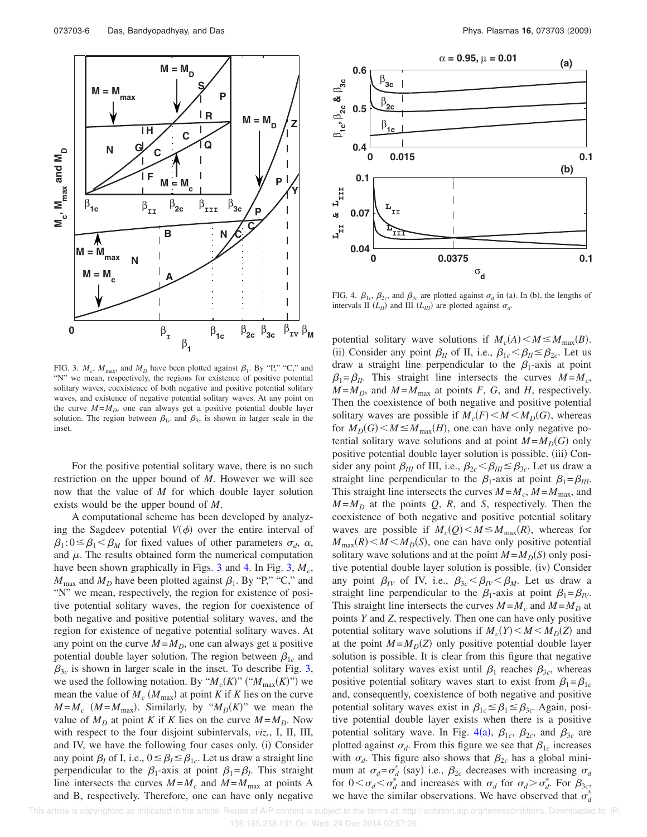

FIG. 3.  $M_c$ ,  $M_{\text{max}}$ , and  $M_D$  have been plotted against  $\beta_1$ . By "P," "C," and "N" we mean, respectively, the regions for existence of positive potential solitary waves, coexistence of both negative and positive potential solitary waves, and existence of negative potential solitary waves. At any point on the curve  $M = M_D$ , one can always get a positive potential double layer solution. The region between  $\beta_{1c}$  and  $\beta_{3c}$  is shown in larger scale in the inset.

For the positive potential solitary wave, there is no such restriction on the upper bound of *M*. However we will see now that the value of *M* for which double layer solution exists would be the upper bound of *M*.

A computational scheme has been developed by analyzing the Sagdeev potential  $V(\phi)$  over the entire interval of  $\beta_1$ : $0 \leq \beta_1 < \beta_M$  for fixed values of other parameters  $\sigma_d$ ,  $\alpha$ , and  $\mu$ . The results obtained form the numerical computation have been shown graphically in Figs. 3 and 4. In Fig. 3,  $M_c$ ,  $M_{\text{max}}$  and  $M_D$  have been plotted against  $\beta_1$ . By "P," "C," and "N" we mean, respectively, the region for existence of positive potential solitary waves, the region for coexistence of both negative and positive potential solitary waves, and the region for existence of negative potential solitary waves. At any point on the curve  $M = M_D$ , one can always get a positive potential double layer solution. The region between  $\beta_{1c}$  and  $\beta_{3c}$  is shown in larger scale in the inset. To describe Fig. 3, we used the following notation. By " $M_c(K)$ " (" $M_{\text{max}}(K)$ ") we mean the value of  $M_c$  ( $M_{\text{max}}$ ) at point *K* if *K* lies on the curve  $M = M_c$  ( $M = M_{\text{max}}$ ). Similarly, by " $M_D(K)$ " we mean the value of  $M_D$  at point *K* if *K* lies on the curve  $M = M_D$ . Now with respect to the four disjoint subintervals, *viz.*, I, II, III, and IV, we have the following four cases only. (i) Consider any point  $\beta_I$  of I, i.e.,  $0 \leq \beta_I \leq \beta_{1c}$ . Let us draw a straight line perpendicular to the  $\beta_1$ -axis at point  $\beta_1 = \beta_1$ . This straight line intersects the curves  $M = M_c$  and  $M = M_{\text{max}}$  at points A and B, respectively. Therefore, one can have only negative



FIG. 4.  $\beta_{1c}$ ,  $\beta_{2c}$ , and  $\beta_{3c}$  are plotted against  $\sigma_d$  in (a). In (b), the lengths of intervals II  $(L_{II})$  and III  $(L_{III})$  are plotted against  $\sigma_d$ .

potential solitary wave solutions if  $M_c(A) < M \le M_{\text{max}}(B)$ . (ii) Consider any point  $\beta_{II}$  of II, i.e.,  $\beta_{1c} < \beta_{II} \leq \beta_{2c}$ . Let us draw a straight line perpendicular to the  $\beta_1$ -axis at point  $\beta_1 = \beta_{II}$ . This straight line intersects the curves  $M = M_c$ ,  $M = M_D$ , and  $M = M_{\text{max}}$  at points *F*, *G*, and *H*, respectively. Then the coexistence of both negative and positive potential solitary waves are possible if  $M_c(F) \leq M \leq M_D(G)$ , whereas for  $M_D(G) < M \leq M_{\text{max}}(H)$ , one can have only negative potential solitary wave solutions and at point  $M = M_D(G)$  only positive potential double layer solution is possible. (iii) Consider any point  $\beta_{III}$  of III, i.e.,  $\beta_{2c} < \beta_{III} \leq \beta_{3c}$ . Let us draw a straight line perpendicular to the  $\beta_1$ -axis at point  $\beta_1 = \beta_{III}$ . This straight line intersects the curves  $M = M_c$ ,  $M = M_{\text{max}}$ , and  $M = M_D$  at the points *Q*, *R*, and *S*, respectively. Then the coexistence of both negative and positive potential solitary waves are possible if  $M_c(Q) < M \le M_{\text{max}}(R)$ , whereas for  $M_{\text{max}}(R) \leq M \leq M_D(S)$ , one can have only positive potential solitary wave solutions and at the point  $M = M_D(S)$  only positive potential double layer solution is possible. (iv) Consider any point  $\beta_{IV}$  of IV, i.e.,  $\beta_{3c} < \beta_{IV} < \beta_{M}$ . Let us draw a straight line perpendicular to the  $\beta_1$ -axis at point  $\beta_1 = \beta_{IV}$ . This straight line intersects the curves  $M = M_c$  and  $M = M_D$  at points *Y* and *Z*, respectively. Then one can have only positive potential solitary wave solutions if  $M_c(Y) < M < M_D(Z)$  and at the point  $M = M_D(Z)$  only positive potential double layer solution is possible. It is clear from this figure that negative potential solitary waves exist until  $\beta_1$  reaches  $\beta_{3c}$ , whereas positive potential solitary waves start to exist from  $\beta_1 = \beta_{1c}$ and, consequently, coexistence of both negative and positive potential solitary waves exist in  $\beta_{1c} \leq \beta_1 \leq \beta_{3c}$ . Again, positive potential double layer exists when there is a positive potential solitary wave. In Fig.  $4(a)$ ,  $\beta_{1c}$ ,  $\beta_{2c}$ , and  $\beta_{3c}$  are plotted against  $\sigma_d$ . From this figure we see that  $\beta_{1c}$  increases with  $\sigma_d$ . This figure also shows that  $\beta_{2c}$  has a global minimum at  $\sigma_d = \sigma_d^*$  (say) i.e.,  $\beta_{2c}$  decreases with increasing  $\sigma_d$ for  $0 < \sigma_d < \sigma_d^*$  and increases with  $\sigma_d$  for  $\sigma_d > \sigma_d^*$ . For  $\beta_{3c}$ , we have the similar observations. We have observed that  $\sigma_d^*$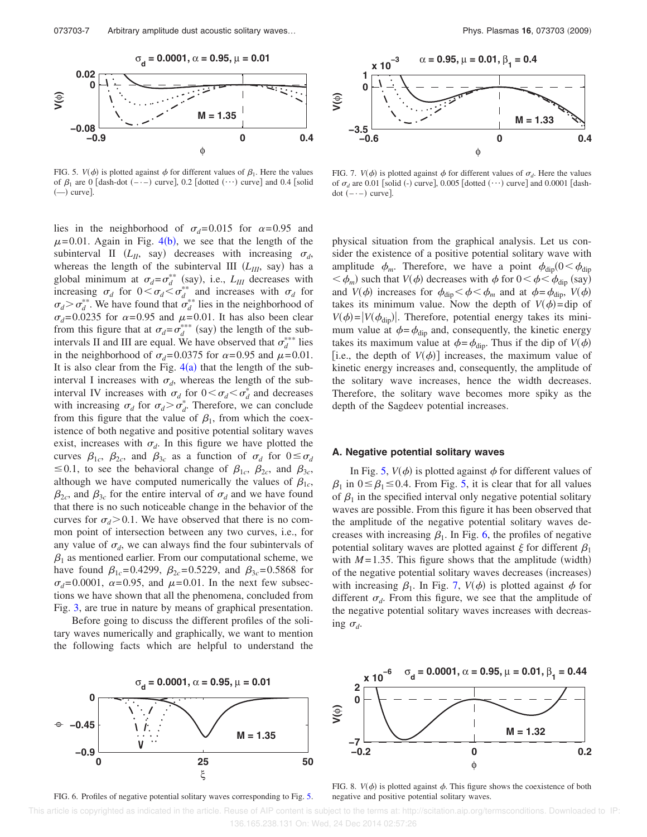

FIG. 5.  $V(\phi)$  is plotted against  $\phi$  for different values of  $\beta_1$ . Here the values of  $\beta_1$  are 0 [dash-dot  $(-,-)$  curve], 0.2 [dotted  $(\cdots)$  curve] and 0.4 [solid (––) curve].

lies in the neighborhood of  $\sigma_d$ =0.015 for  $\alpha$ =0.95 and  $\mu$ =0.01. Again in Fig. 4(b), we see that the length of the subinterval II  $(L_{II}, \text{say})$  decreases with increasing  $\sigma_d$ , whereas the length of the subinterval III  $(L_{III}, say)$  has a global minimum at  $\sigma_d = \sigma_d^{**}$  (say), i.e.,  $L_{III}$  decreases with increasing  $\sigma_d$  for  $0 < \sigma_d < \sigma_d^*$  and increases with  $\sigma_d$  for  $\sigma_d > \sigma_d^*$ . We have found that  $\sigma_d^*$  lies in the neighborhood of  $\sigma_d$ =0.0235 for  $\alpha$ =0.95 and  $\mu$ =0.01. It has also been clear from this figure that at  $\sigma_d = \sigma_d^{***}$  (say) the length of the subintervals II and III are equal. We have observed that  $\sigma_d^{***}$  lies in the neighborhood of  $\sigma_d$ =0.0375 for  $\alpha$ =0.95 and  $\mu$ =0.01. It is also clear from the Fig.  $4(a)$  that the length of the subinterval I increases with  $\sigma_d$ , whereas the length of the subinterval IV increases with  $\sigma_d$  for  $0 < \sigma_d < \sigma_d^*$  and decreases with increasing  $\sigma_d$  for  $\sigma_d > \sigma_d^*$ . Therefore, we can conclude from this figure that the value of  $\beta_1$ , from which the coexistence of both negative and positive potential solitary waves exist, increases with  $\sigma_d$ . In this figure we have plotted the curves  $\beta_{1c}$ ,  $\beta_{2c}$ , and  $\beta_{3c}$  as a function of  $\sigma_d$  for  $0 \le \sigma_d$  $\leq$  0.1, to see the behavioral change of  $\beta_{1c}$ ,  $\beta_{2c}$ , and  $\beta_{3c}$ , although we have computed numerically the values of  $\beta_{1c}$ ,  $\beta_{2c}$ , and  $\beta_{3c}$  for the entire interval of  $\sigma_d$  and we have found that there is no such noticeable change in the behavior of the curves for  $\sigma_d$ >0.1. We have observed that there is no common point of intersection between any two curves, i.e., for any value of  $\sigma_d$ , we can always find the four subintervals of  $\beta_1$  as mentioned earlier. From our computational scheme, we have found  $\beta_{1c}$ =0.4299,  $\beta_{2c}$ =0.5229, and  $\beta_{3c}$ =0.5868 for  $\sigma_d$ =0.0001,  $\alpha$ =0.95, and  $\mu$ =0.01. In the next few subsections we have shown that all the phenomena, concluded from Fig. 3, are true in nature by means of graphical presentation.

Before going to discuss the different profiles of the solitary waves numerically and graphically, we want to mention the following facts which are helpful to understand the



FIG. 7.  $V(\phi)$  is plotted against  $\phi$  for different values of  $\sigma_d$ . Here the values of  $\sigma_d$  are 0.01 [solid (-) curve], 0.005 [dotted  $(\cdots)$  curve] and 0.0001 [dash $dot (- - ) curve].$ 

physical situation from the graphical analysis. Let us consider the existence of a positive potential solitary wave with amplitude  $\phi_m$ . Therefore, we have a point  $\phi_{\text{dip}}(0 < \phi_{\text{dip}})$  $<\phi_m$ ) such that *V*( $\phi$ ) decreases with  $\phi$  for  $0<\phi<\phi_{\text{dip}}$  (say) and  $V(\phi)$  increases for  $\phi_{\text{dip}} < \phi < \phi_m$  and at  $\phi = \phi_{\text{dip}}$ ,  $V(\phi)$ takes its minimum value. Now the depth of  $V(\phi) = \text{dip}$  of  $V(\phi) = |V(\phi_{\text{dip}})|$ . Therefore, potential energy takes its minimum value at  $\phi = \phi_{\text{dip}}$  and, consequently, the kinetic energy takes its maximum value at  $\phi = \phi_{\text{dip}}$ . Thus if the dip of *V*( $\phi$ ) [i.e., the depth of  $V(\phi)$ ] increases, the maximum value of kinetic energy increases and, consequently, the amplitude of the solitary wave increases, hence the width decreases. Therefore, the solitary wave becomes more spiky as the depth of the Sagdeev potential increases.

#### **A. Negative potential solitary waves**

In Fig. 5,  $V(\phi)$  is plotted against  $\phi$  for different values of  $\beta_1$  in  $0 \le \beta_1 \le 0.4$ . From Fig. 5, it is clear that for all values of  $\beta_1$  in the specified interval only negative potential solitary waves are possible. From this figure it has been observed that the amplitude of the negative potential solitary waves decreases with increasing  $\beta_1$ . In Fig. 6, the profiles of negative potential solitary waves are plotted against  $\xi$  for different  $\beta_1$ with  $M = 1.35$ . This figure shows that the amplitude (width) of the negative potential solitary waves decreases (increases) with increasing  $\beta_1$ . In Fig. 7,  $V(\phi)$  is plotted against  $\phi$  for different  $\sigma_d$ . From this figure, we see that the amplitude of the negative potential solitary waves increases with decreas- $\log \sigma_d$ .



FIG. 6. Profiles of negative potential solitary waves corresponding to Fig. 5.



FIG. 8.  $V(\phi)$  is plotted against  $\phi$ . This figure shows the coexistence of both negative and positive potential solitary waves.

 This article is copyrighted as indicated in the article. Reuse of AIP content is subject to the terms at: http://scitation.aip.org/termsconditions. Downloaded to IP: 136.165.238.131 On: Wed, 24 Dec 2014 02:57:26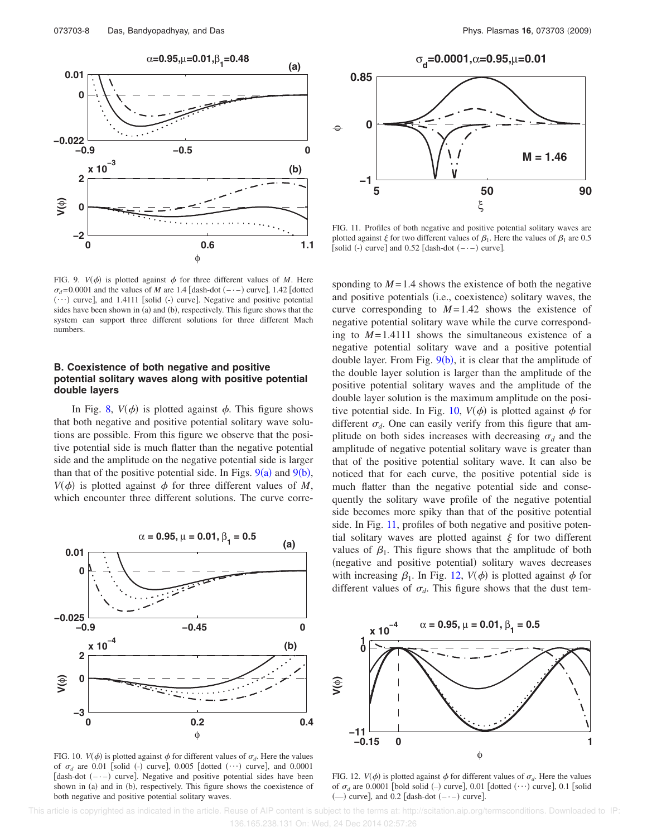

FIG. 9.  $V(\phi)$  is plotted against  $\phi$  for three different values of *M*. Here  $\sigma_d$ =0.0001 and the values of *M* are 1.4 [dash-dot (- $\cdot$ -) curve], 1.42 [dotted  $\dots$ ) curve], and 1.4111 [solid (-) curve]. Negative and positive potential sides have been shown in (a) and (b), respectively. This figure shows that the system can support three different solutions for three different Mach numbers.

#### **B. Coexistence of both negative and positive potential solitary waves along with positive potential double layers**

In Fig. 8,  $V(\phi)$  is plotted against  $\phi$ . This figure shows that both negative and positive potential solitary wave solutions are possible. From this figure we observe that the positive potential side is much flatter than the negative potential side and the amplitude on the negative potential side is larger than that of the positive potential side. In Figs.  $9(a)$  and  $9(b)$ ,  $V(\phi)$  is plotted against  $\phi$  for three different values of *M*, which encounter three different solutions. The curve corre-



FIG. 10.  $V(\phi)$  is plotted against  $\phi$  for different values of  $\sigma_d$ . Here the values of  $\sigma_d$  are 0.01 [solid (-) curve], 0.005 [dotted  $(\cdots)$  curve], and 0.0001 [dash-dot  $(-,-)$  curve]. Negative and positive potential sides have been shown in (a) and in (b), respectively. This figure shows the coexistence of both negative and positive potential solitary waves.



FIG. 11. Profiles of both negative and positive potential solitary waves are plotted against  $\xi$  for two different values of  $\beta_1$ . Here the values of  $\beta_1$  are 0.5 [solid (-) curve] and  $0.52$  [dash-dot  $(-,-)$  curve].

sponding to  $M = 1.4$  shows the existence of both the negative and positive potentials (i.e., coexistence) solitary waves, the curve corresponding to  $M=1.42$  shows the existence of negative potential solitary wave while the curve corresponding to  $M = 1.4111$  shows the simultaneous existence of a negative potential solitary wave and a positive potential double layer. From Fig.  $9(b)$ , it is clear that the amplitude of the double layer solution is larger than the amplitude of the positive potential solitary waves and the amplitude of the double layer solution is the maximum amplitude on the positive potential side. In Fig. 10,  $V(\phi)$  is plotted against  $\phi$  for different  $\sigma_d$ . One can easily verify from this figure that amplitude on both sides increases with decreasing  $\sigma_d$  and the amplitude of negative potential solitary wave is greater than that of the positive potential solitary wave. It can also be noticed that for each curve, the positive potential side is much flatter than the negative potential side and consequently the solitary wave profile of the negative potential side becomes more spiky than that of the positive potential side. In Fig. 11, profiles of both negative and positive potential solitary waves are plotted against  $\xi$  for two different values of  $\beta_1$ . This figure shows that the amplitude of both (negative and positive potential) solitary waves decreases with increasing  $\beta_1$ . In Fig. 12,  $V(\phi)$  is plotted against  $\phi$  for different values of  $\sigma_d$ . This figure shows that the dust tem-



FIG. 12.  $V(\phi)$  is plotted against  $\phi$  for different values of  $\sigma_d$ . Here the values of  $\sigma_d$  are 0.0001 [bold solid (-) curve], 0.01 [dotted  $(\cdots)$  curve], 0.1 [solid  $(-)$  curve], and 0.2 [dash-dot  $(-)$  curve].

 This article is copyrighted as indicated in the article. Reuse of AIP content is subject to the terms at: http://scitation.aip.org/termsconditions. Downloaded to IP: 136.165.238.131 On: Wed, 24 Dec 2014 02:57:26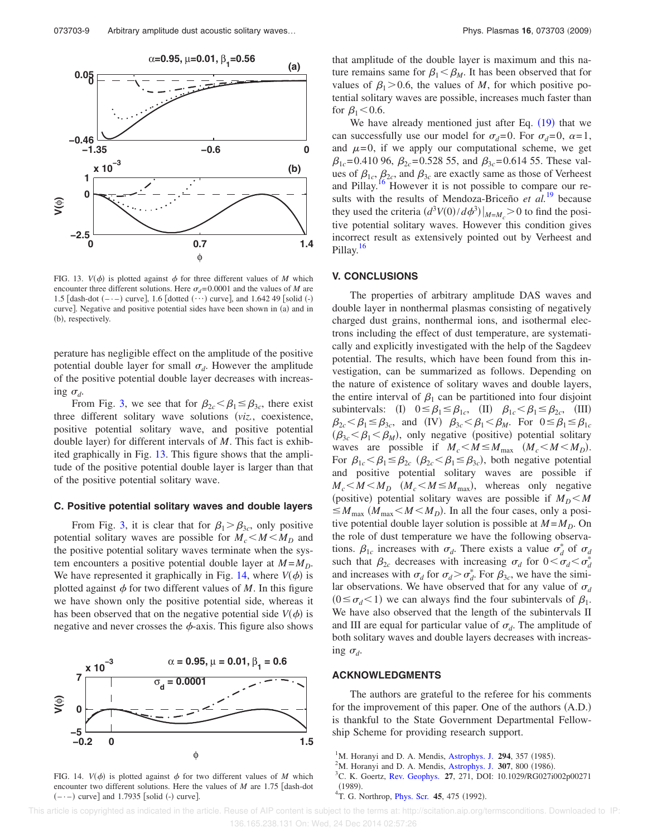

FIG. 13.  $V(\phi)$  is plotted against  $\phi$  for three different values of *M* which encounter three different solutions. Here  $\sigma_d$ =0.0001 and the values of *M* are 1.5 [dash-dot  $(-,-)$  curve], 1.6 [dotted  $(\cdots)$  curve], and 1.642 49 [solid  $(-)$ curve]. Negative and positive potential sides have been shown in (a) and in (b), respectively.

perature has negligible effect on the amplitude of the positive potential double layer for small  $\sigma_d$ . However the amplitude of the positive potential double layer decreases with increas- $\log \sigma_d$ .

From Fig. 3, we see that for  $\beta_{2c} < \beta_1 \leq \beta_{3c}$ , there exist three different solitary wave solutions (viz., coexistence, positive potential solitary wave, and positive potential double layer) for different intervals of *M*. This fact is exhibited graphically in Fig. 13. This figure shows that the amplitude of the positive potential double layer is larger than that of the positive potential solitary wave.

#### **C. Positive potential solitary waves and double layers**

From Fig. 3, it is clear that for  $\beta_1 > \beta_{3c}$ , only positive potential solitary waves are possible for  $M_c < M < M_D$  and the positive potential solitary waves terminate when the system encounters a positive potential double layer at  $M = M_D$ . We have represented it graphically in Fig. 14, where  $V(\phi)$  is plotted against  $\phi$  for two different values of M. In this figure we have shown only the positive potential side, whereas it has been observed that on the negative potential side  $V(\phi)$  is negative and never crosses the  $\phi$ -axis. This figure also shows



FIG. 14.  $V(\phi)$  is plotted against  $\phi$  for two different values of *M* which encounter two different solutions. Here the values of  $M$  are 1.75 [dash-dot  $(-,-)$  curve] and 1.7935 [solid  $(-)$  curve].

that amplitude of the double layer is maximum and this nature remains same for  $\beta_1 < \beta_M$ . It has been observed that for values of  $\beta_1$  > 0.6, the values of *M*, for which positive potential solitary waves are possible, increases much faster than for  $\beta_1$  < 0.6.

We have already mentioned just after Eq.  $(19)$  that we can successfully use our model for  $\sigma_d=0$ . For  $\sigma_d=0$ ,  $\alpha=1$ , and  $\mu=0$ , if we apply our computational scheme, we get  $\beta_{1c}$ =0.410 96,  $\beta_{2c}$ =0.528 55, and  $\beta_{3c}$ =0.614 55. These values of  $\beta_{1c}$ ,  $\beta_{2c}$ , and  $\beta_{3c}$  are exactly same as those of Verheest and Pillay.<sup>16</sup> However it is not possible to compare our results with the results of Mendoza-Briceño *et al.*<sup>19</sup> because they used the criteria  $\left(d^3V(0)/d\phi^3\right)\big|_{M=M_c} > 0$  to find the positive potential solitary waves. However this condition gives incorrect result as extensively pointed out by Verheest and Pillay.<sup>16</sup>

#### **V. CONCLUSIONS**

The properties of arbitrary amplitude DAS waves and double layer in nonthermal plasmas consisting of negatively charged dust grains, nonthermal ions, and isothermal electrons including the effect of dust temperature, are systematically and explicitly investigated with the help of the Sagdeev potential. The results, which have been found from this investigation, can be summarized as follows. Depending on the nature of existence of solitary waves and double layers, the entire interval of  $\beta_1$  can be partitioned into four disjoint subintervals: (I)  $0 \leq \beta_1 \leq \beta_1 c$ , (II)  $\beta_1 c < \beta_1 \leq \beta_2 c$ , (III)  $\beta_{2c} < \beta_1 \leq \beta_{3c}$ , and (IV)  $\beta_{3c} < \beta_1 < \beta_M$ . For  $0 \leq \beta_1 \leq \beta_{1c}$  $(\beta_{3c} < \beta_1 < \beta_M)$ , only negative (positive) potential solitary waves are possible if  $M_c < M \le M_{\text{max}}$   $(M_c < M < M_D)$ . For  $\beta_{1c} < \beta_1 \leq \beta_{2c}$  ( $\beta_{2c} < \beta_1 \leq \beta_{3c}$ ), both negative potential and positive potential solitary waves are possible if  $M_c < M < M_D$  ( $M_c < M \le M_{\text{max}}$ ), whereas only negative (positive) potential solitary waves are possible if  $M_D < M$  $\leq M_{\text{max}}$  ( $M_{\text{max}} < M < M_D$ ). In all the four cases, only a positive potential double layer solution is possible at  $M = M_D$ . On the role of dust temperature we have the following observations.  $\beta_{1c}$  increases with  $\sigma_d$ . There exists a value  $\sigma_d^*$  of  $\sigma_d$ such that  $\beta_{2c}$  decreases with increasing  $\sigma_d$  for  $0 < \sigma_d < \sigma_d^*$ and increases with  $\sigma_d$  for  $\sigma_d > \sigma_d^*$ . For  $\beta_{3c}$ , we have the similar observations. We have observed that for any value of  $\sigma_d$  $(0 \le \sigma_d < 1)$  we can always find the four subintervals of  $\beta_1$ . We have also observed that the length of the subintervals II and III are equal for particular value of  $\sigma_d$ . The amplitude of both solitary waves and double layers decreases with increasing  $\sigma_d$ .

#### **ACKNOWLEDGMENTS**

The authors are grateful to the referee for his comments for the improvement of this paper. One of the authors (A.D.) is thankful to the State Government Departmental Fellowship Scheme for providing research support.

- $1^1$ M. Horanyi and D. A. Mendis, Astrophys. J. 294, 357 (1985).
- $2^2$ M. Horanyi and D. A. Mendis, Astrophys. J. 307, 800 (1986).
- <sup>3</sup>C. K. Goertz, Rev. Geophys. **27**, 271, DOI: 10.1029/RG027i002p00271
- $(1989)$ (1989).<br><sup>4</sup>T. G. Northrop, *Phys. Scr.* **45**, 475 (1992).

This article is copyrighted as indicated in the article. Reuse of AIP content is subject to the terms at: http://scitation.aip.org/termsconditions. Downloaded to IP: 136.165.238.131 On: Wed, 24 Dec 2014 02:57:26